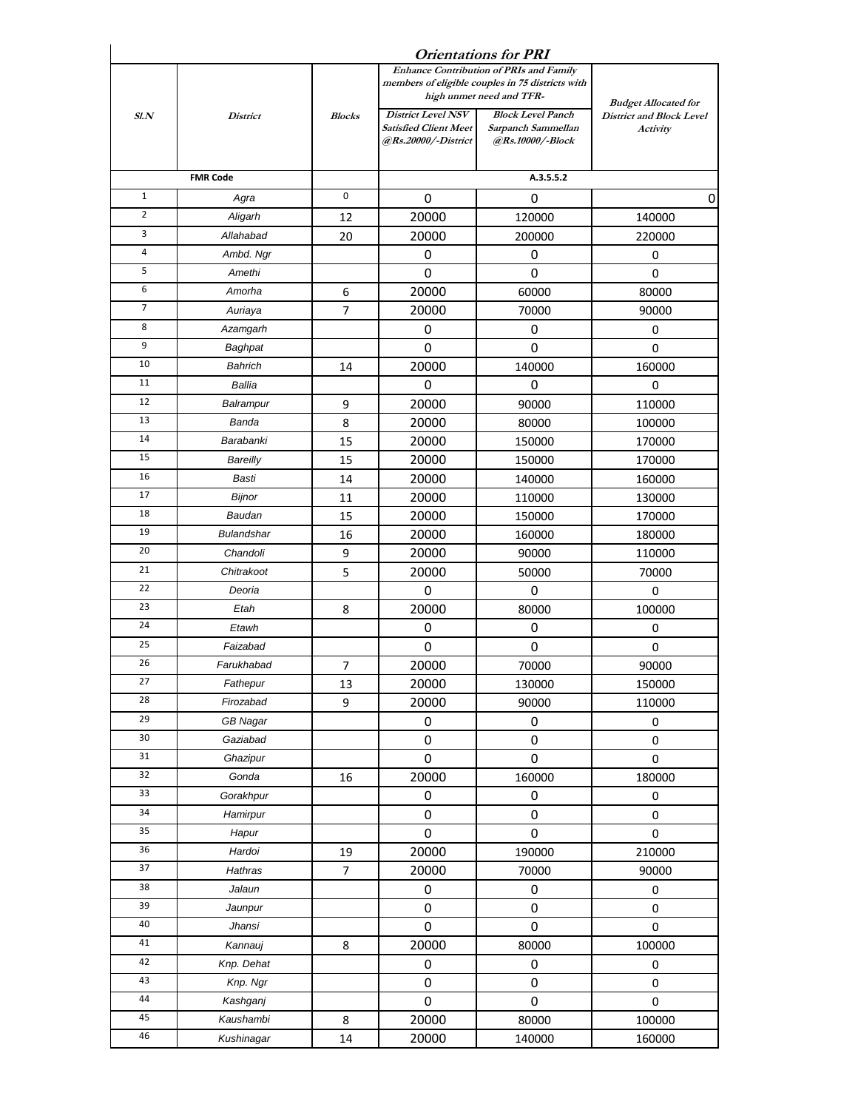|                 | <b>District</b> | <b>Orientations for PRI</b><br><b>Enhance Contribution of PRIs and Family</b><br>members of eligible couples in 75 districts with |                                                                                  |                                                                                                |                                                                            |
|-----------------|-----------------|-----------------------------------------------------------------------------------------------------------------------------------|----------------------------------------------------------------------------------|------------------------------------------------------------------------------------------------|----------------------------------------------------------------------------|
| SLN             |                 | <b>Blocks</b>                                                                                                                     | <b>District Level NSV</b><br><b>Satisfied Client Meet</b><br>@Rs.20000/-District | high unmet need and TFR-<br><b>Block Level Panch</b><br>Sarpanch Sammellan<br>@Rs.10000/-Block | <b>Budget Allocated for</b><br><b>District and Block Level</b><br>Activity |
| <b>FMR Code</b> |                 |                                                                                                                                   |                                                                                  |                                                                                                |                                                                            |
| $\mathbf{1}$    | Agra            | 0                                                                                                                                 | 0                                                                                | 0                                                                                              | 0                                                                          |
| 2               | Aligarh         | 12                                                                                                                                | 20000                                                                            | 120000                                                                                         | 140000                                                                     |
| 3               | Allahabad       | 20                                                                                                                                | 20000                                                                            | 200000                                                                                         | 220000                                                                     |
| 4               | Ambd. Ngr       |                                                                                                                                   | 0                                                                                | 0                                                                                              | 0                                                                          |
| 5               | Amethi          |                                                                                                                                   | $\mathbf 0$                                                                      | 0                                                                                              | 0                                                                          |
| 6               | Amorha          | 6                                                                                                                                 | 20000                                                                            | 60000                                                                                          | 80000                                                                      |
| 7               | Auriaya         | $\overline{7}$                                                                                                                    | 20000                                                                            | 70000                                                                                          | 90000                                                                      |
| 8               | Azamgarh        |                                                                                                                                   | 0                                                                                | 0                                                                                              | 0                                                                          |
| 9               | Baghpat         |                                                                                                                                   | 0                                                                                | 0                                                                                              | $\mathbf 0$                                                                |
| 10              | Bahrich         | 14                                                                                                                                | 20000                                                                            | 140000                                                                                         | 160000                                                                     |
| 11              | Ballia          |                                                                                                                                   | 0                                                                                | 0                                                                                              | 0                                                                          |
| 12              | Balrampur       | 9                                                                                                                                 | 20000                                                                            | 90000                                                                                          | 110000                                                                     |
| 13              | Banda           | 8                                                                                                                                 | 20000                                                                            | 80000                                                                                          | 100000                                                                     |
| 14              | Barabanki       | 15                                                                                                                                | 20000                                                                            | 150000                                                                                         | 170000                                                                     |
| 15              | Bareilly        | 15                                                                                                                                | 20000                                                                            | 150000                                                                                         | 170000                                                                     |
| 16              | Basti           | 14                                                                                                                                | 20000                                                                            | 140000                                                                                         | 160000                                                                     |
| 17              | Bijnor          | 11                                                                                                                                | 20000                                                                            | 110000                                                                                         | 130000                                                                     |
| 18              | Baudan          | 15                                                                                                                                | 20000                                                                            | 150000                                                                                         | 170000                                                                     |
| 19              | Bulandshar      | 16                                                                                                                                | 20000                                                                            | 160000                                                                                         | 180000                                                                     |
| 20              | Chandoli        | 9                                                                                                                                 | 20000                                                                            | 90000                                                                                          | 110000                                                                     |
| 21              | Chitrakoot      | 5                                                                                                                                 | 20000                                                                            | 50000                                                                                          | 70000                                                                      |
| 22              | Deoria          |                                                                                                                                   | 0                                                                                | 0                                                                                              | 0                                                                          |
| 23              | Etah            | 8                                                                                                                                 | 20000                                                                            | 80000                                                                                          | 100000                                                                     |
| 24              | Etawh           |                                                                                                                                   | 0                                                                                | 0                                                                                              | 0                                                                          |
| 25              | Faizabad        |                                                                                                                                   | 0                                                                                | 0                                                                                              | $\mathbf 0$                                                                |
| 26              | Farukhabad      | 7                                                                                                                                 | 20000                                                                            | 70000                                                                                          | 90000                                                                      |
| 27              | Fathepur        | 13                                                                                                                                | 20000                                                                            | 130000                                                                                         | 150000                                                                     |
| 28              | Firozabad       | 9                                                                                                                                 | 20000                                                                            | 90000                                                                                          | 110000                                                                     |
| 29              | <b>GB Nagar</b> |                                                                                                                                   | 0                                                                                | 0                                                                                              | $\pmb{0}$                                                                  |
| $30\,$          | Gaziabad        |                                                                                                                                   | 0                                                                                | 0                                                                                              | $\pmb{0}$                                                                  |
| 31              | Ghazipur        |                                                                                                                                   | 0                                                                                | 0                                                                                              | $\pmb{0}$                                                                  |
| 32              | Gonda           | 16                                                                                                                                | 20000                                                                            | 160000                                                                                         | 180000                                                                     |
| 33              | Gorakhpur       |                                                                                                                                   | 0                                                                                | 0                                                                                              | $\mathbf 0$                                                                |
| 34              | Hamirpur        |                                                                                                                                   | 0                                                                                | 0                                                                                              | $\pmb{0}$                                                                  |
| 35              | Hapur           |                                                                                                                                   | $\mathbf 0$                                                                      | 0                                                                                              | $\mathbf 0$                                                                |
| 36              | Hardoi          | 19                                                                                                                                | 20000                                                                            | 190000                                                                                         | 210000                                                                     |
| 37              | Hathras         | $\overline{7}$                                                                                                                    | 20000                                                                            | 70000                                                                                          | 90000                                                                      |
| 38              | Jalaun          |                                                                                                                                   | 0                                                                                | 0                                                                                              | $\pmb{0}$                                                                  |
| 39              | Jaunpur         |                                                                                                                                   | 0                                                                                | 0                                                                                              | 0                                                                          |
| 40              | Jhansi          |                                                                                                                                   | $\mathbf 0$                                                                      | 0                                                                                              | $\mathbf 0$                                                                |
| 41              | Kannauj         | 8                                                                                                                                 | 20000                                                                            | 80000                                                                                          | 100000                                                                     |
| 42              | Knp. Dehat      |                                                                                                                                   | 0                                                                                | 0                                                                                              | 0                                                                          |
| 43              | Knp. Ngr        |                                                                                                                                   | 0                                                                                | 0                                                                                              | $\pmb{0}$                                                                  |
| 44              | Kashganj        |                                                                                                                                   | 0                                                                                | 0                                                                                              | $\mathbf 0$                                                                |
| 45              | Kaushambi       | 8                                                                                                                                 | 20000                                                                            | 80000                                                                                          | 100000                                                                     |
| 46              | Kushinagar      | 14                                                                                                                                | 20000                                                                            | 140000                                                                                         | 160000                                                                     |